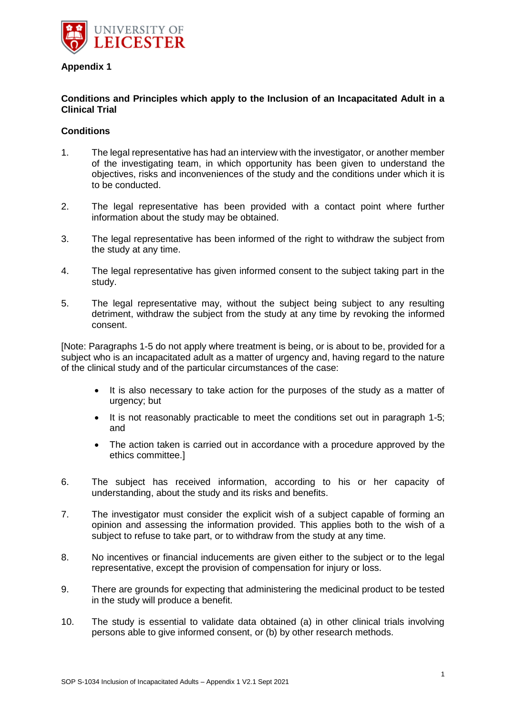

## **Appendix 1**

## **Conditions and Principles which apply to the Inclusion of an Incapacitated Adult in a Clinical Trial**

## **Conditions**

- 1. The legal representative has had an interview with the investigator, or another member of the investigating team, in which opportunity has been given to understand the objectives, risks and inconveniences of the study and the conditions under which it is to be conducted.
- 2. The legal representative has been provided with a contact point where further information about the study may be obtained.
- 3. The legal representative has been informed of the right to withdraw the subject from the study at any time.
- 4. The legal representative has given informed consent to the subject taking part in the study.
- 5. The legal representative may, without the subject being subject to any resulting detriment, withdraw the subject from the study at any time by revoking the informed consent.

[Note: Paragraphs 1-5 do not apply where treatment is being, or is about to be, provided for a subject who is an incapacitated adult as a matter of urgency and, having regard to the nature of the clinical study and of the particular circumstances of the case:

- It is also necessary to take action for the purposes of the study as a matter of urgency; but
- It is not reasonably practicable to meet the conditions set out in paragraph 1-5; and
- The action taken is carried out in accordance with a procedure approved by the ethics committee.]
- 6. The subject has received information, according to his or her capacity of understanding, about the study and its risks and benefits.
- 7. The investigator must consider the explicit wish of a subject capable of forming an opinion and assessing the information provided. This applies both to the wish of a subject to refuse to take part, or to withdraw from the study at any time.
- 8. No incentives or financial inducements are given either to the subject or to the legal representative, except the provision of compensation for injury or loss.
- 9. There are grounds for expecting that administering the medicinal product to be tested in the study will produce a benefit.
- 10. The study is essential to validate data obtained (a) in other clinical trials involving persons able to give informed consent, or (b) by other research methods.